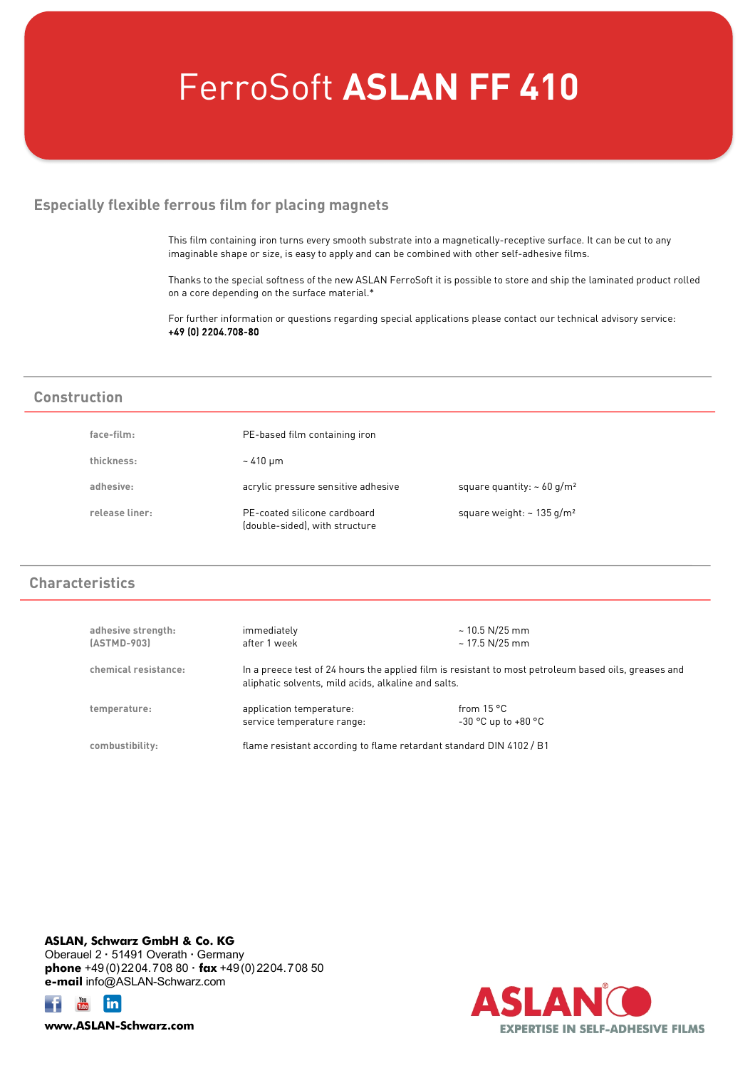# FerroSoft **ASLAN FF 410**

## **Especially flexible ferrous film for placing magnets**

This film containing iron turns every smooth substrate into a magnetically-receptive surface. It can be cut to any imaginable shape or size, is easy to apply and can be combined with other self-adhesive films.

Thanks to the special softness of the new ASLAN FerroSoft it is possible to store and ship the laminated product rolled on a core depending on the surface material.\*

For further information or questions regarding special applications please contact our technical advisory service: +49 (0) 2204.708-80

### **Construction**

| face-film:     | PE-based film containing iron                                  |                                             |
|----------------|----------------------------------------------------------------|---------------------------------------------|
| thickness:     | $\sim 410 \,\mathrm{\upmu m}$                                  |                                             |
| adhesive:      | acrylic pressure sensitive adhesive                            | square quantity: $\sim$ 60 g/m <sup>2</sup> |
| release liner: | PE-coated silicone cardboard<br>(double-sided), with structure | square weight: $\sim$ 135 g/m <sup>2</sup>  |

### **Characteristics**

| adhesive strength:<br>[ASTMD-903] | immediately<br>after 1 week                                                                                                                                 | $\sim$ 10.5 N/25 mm<br>$\sim$ 17.5 N/25 mm     |
|-----------------------------------|-------------------------------------------------------------------------------------------------------------------------------------------------------------|------------------------------------------------|
| chemical resistance:              | In a preece test of 24 hours the applied film is resistant to most petroleum based oils, greases and<br>aliphatic solvents, mild acids, alkaline and salts. |                                                |
| temperature:                      | application temperature:<br>service temperature range:                                                                                                      | from $15^{\circ}$ C<br>$-30$ °C up to $+80$ °C |
| combustibility:                   | flame resistant according to flame retardant standard DIN 4102 / B1                                                                                         |                                                |

**ASLAN, Schwarz GmbH & Co. KG** Oberauel 2 **·** 51491 Overath **·** Germany **phone** +49(0)2204.708 80 **· fax** +49(0) 2204.708 50 **e-mail** info@ASLAN-Schwarz.com